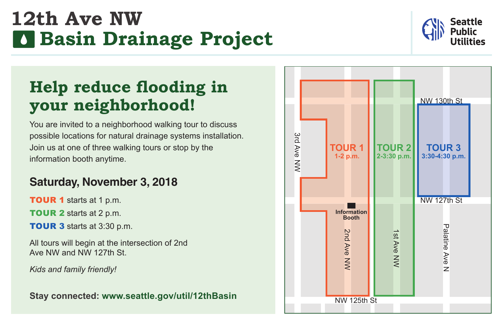# **12th Ave NW Basin Drainage Project**



## **Help reduce flooding in your neighborhood!**

You are invited to a neighborhood walking tour to discuss possible locations for natural drainage systems installation. Join us at one of three walking tours or stop by the information booth anytime.

#### **Saturday, November 3, 2018**

**TOUR 1** starts at 1 p.m. **TOUR 2** starts at 2 p.m.

**TOUR 3 starts at 3:30 p.m.** 

All tours will begin at the intersection of 2nd Ave NW and NW 127th St.

*Kids and family friendly!*

**Stay connected: www.seattle.gov/util/12thBasin**